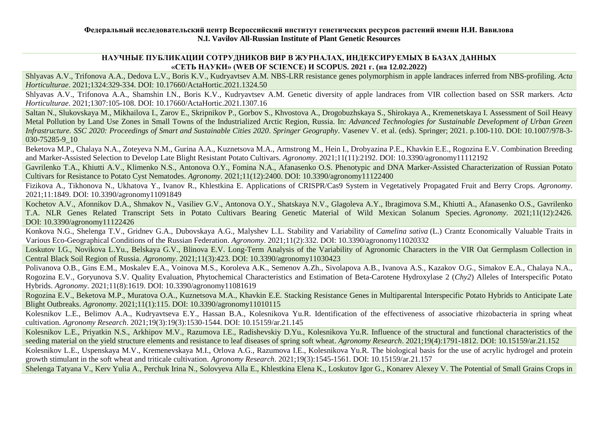# **НАУЧНЫЕ ПУБЛИКАЦИИ СОТРУДНИКОВ ВИР В ЖУРНАЛАХ, ИНДЕКСИРУЕМЫХ В БАЗАХ ДАННЫХ «СЕТЬ НАУКИ» (WEB OF SCIENCE) И SCOPUS. 2021 г. (на 12.02.2022)**

Shlyavas A.V., Trifonova A.A., Dedova L.V., Boris K.V., Kudryavtsev A.M. NBS-LRR resistance genes polymorphism in apple landraces inferred from NBS-profiling. *Acta Horticulturae*. 2021;1324:329-334. DOI: [10.17660/ActaHortic.2021.1324.50](https://doi.org/10.17660/ActaHortic.2021.1324.50)

Shlyavas A.V., Trifonova A.A., Shamshin I.N., Boris K.V., Kudryavtsev A.M. Genetic diversity of apple landraces from VIR collection based on SSR markers. *Acta Horticulturae*. 2021;1307:105-108. DOI: [10.17660/ActaHortic.2021.1307.16](https://www.ishs.org/ishs-article/1307_16)

Saltan N., Slukovskaya M., Mikhailova I., Zarov E., Skripnikov P., Gorbov S., Khvostova A., Drogobuzhskaya S., Shirokaya A., Kremenetskaya I. Assessment of Soil Heavy Metal Pollution by Land Use Zones in Small Towns of the Industrialized Arctic Region, Russia. In: *Advanced Technologies for Sustainable Development of Urban Green Infrastructure. SSC 2020: Proceedings of Smart and Sustainable Cities 2020*. *Springer Geography*. Vasenev V. et al. (eds). Springer; 2021. p.100-110. DOI: [10.1007/978-3-](https://link.springer.com/chapter/10.1007%2F978-3-030-75285-9_10) [030-75285-9\\_10](https://link.springer.com/chapter/10.1007%2F978-3-030-75285-9_10)

Beketova M.P., Chalaya N.A., Zoteyeva N.M., Gurina A.A., Kuznetsova M.A., Armstrong M., Hein I., Drobyazina P.E., Khavkin E.E., Rogozina E.V. Combination Breeding and Marker-Assisted Selection to Develop Late Blight Resistant Potato Cultivars. *Agronomy*. 2021;11(11):2192. DOI: [10.3390/agronomy11112192](https://doi.org/10.3390/agronomy11112192)

Gavrilenko T.A., Khiutti A.V., Klimenko N.S., Antonova O.Y., Fomina N.A., Afanasenko O.S. Phenotypic and DNA Marker-Assisted Characterization of Russian Potato Cultivars for Resistance to Potato Cyst Nematodes. *Agronomy*. 2021;11(12):2400. DOI: [10.3390/agronomy11122400](https://doi.org/10.3390/agronomy11122400)

Fizikova A., Tikhonova N., Ukhatova Y., Ivanov R., Khlestkina E. Applications of CRISPR/Cas9 System in Vegetatively Propagated Fruit and Berry Crops. *Agronomy*. 2021;11:1849. DOI: [10.3390/agronomy11091849](https://doi.org/10.3390/agronomy11091849)

Kochetov A.V., Afonnikov D.A., Shmakov N., Vasiliev G.V., Antonova O.Y., Shatskaya N.V., Glagoleva A.Y., Ibragimova S.M., Khiutti A., Afanasenko O.S., Gavrilenko T.A. NLR Genes Related Transcript Sets in Potato Cultivars Bearing Genetic Material of Wild Mexican Solanum Species. *Agronomy*. 2021;11(12):2426. DOI: [10.3390/agronomy11122426](https://doi.org/10.3390/agronomy11122426)

Konkova N.G., Shelenga T.V., Gridnev G.A., Dubovskaya A.G., Malyshev L.L. Stability and Variability of *Camelina sativa* (L.) Crantz Economically Valuable Traits in Various Eco-Geographical Conditions of the Russian Federation. *Agronomy*. 2021;11(2):332. DOI: [10.3390/agronomy11020332](https://doi.org/10.3390/agronomy11020332)

Loskutov I.G., Novikova L.Yu., Belskaya G.V., Blinova E.V. Long-Term Analysis of the Variability of Agronomic Characters in the VIR Oat Germplasm Collection in Central Black Soil Region of Russia. *Agronomy*. 2021;11(3):423. DOI: [10.3390/agronomy11030423](https://doi.org/10.3390/agronomy11030423)

Polivanova O.B., Gins E.M., Moskalev E.A., Voinova M.S., Koroleva A.K., Semenov A.Zh., Sivolapova A.B., Ivanova A.S., Kazakov O.G., Simakov E.A., Chalaya N.A., Rogozina E.V., Goryunova S.V. Quality Evaluation, Phytochemical Characteristics and Estimation of Beta-Carotene Hydroxylase 2 (*Chy2*) Alleles of Interspecific Potato Hybrids. *Agronomy*. 2021;11(8):1619. DOI: [10.3390/agronomy11081619](https://doi.org/10.3390/agronomy11081619)

Rogozina E.V., Beketova M.P., Muratova O.A., Kuznetsova M.A., Khavkin E.E. Stacking Resistance Genes in Multiparental Interspecific Potato Hybrids to Anticipate Late Blight Outbreaks. *Agronomy*. 2021;11(1):115. DOI: [10.3390/agronomy11010115](https://doi.org/10.3390/agronomy11010115)

Kolesnikov L.E., Belimov A.A., Kudryavtseva E.Y., Hassan B.A., Kolesnikova Yu.R. Identification of the effectiveness of associative rhizobacteria in spring wheat cultivation. *Agronomy Research*. 2021;19(3):19(3):1530-1544. DOI: [10.15159/ar.21.145](https://doi.org/10.15159/ar.21.145)

Kolesnikov L.E., Priyatkin N.S., Arkhipov M.V., Razumova I.E., Radishevskiy D.Yu., Kolesnikova Yu.R. Influence of the structural and functional characteristics of the seeding material on the yield structure elements and resistance to leaf diseases of spring soft wheat. *Agronomy Research*. 2021;19(4):1791-1812. DOI: [10.15159/ar.21.152](https://doi.org/10.15159/ar.21.152)

Kolesnikov L.E., Uspenskaya M.V., Kremenevskaya M.I., Orlova A.G., Razumova I.E., Kolesnikova Yu.R. The biological basis for the use of acrylic hydrogel and protein growth stimulant in the soft wheat and triticale cultivation. *Agronomy Research*. 2021;19(3):1545-1561. DOI: [10.15159/ar.21.157](https://doi.org/10.15159/ar.21.157)

Shelenga Tatyana V., Kerv Yulia A., Perchuk Irina N., Solovyeva Alla E., Khlestkina Elena K., Loskutov Igor G., Konarev Alexey V. The Potential of Small Grains Crops in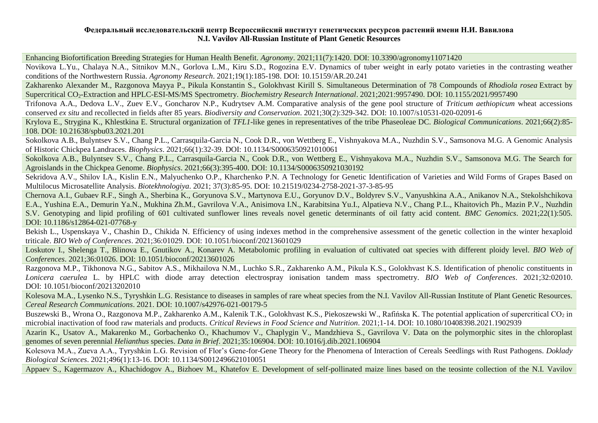Enhancing Biofortification Breeding Strategies for Human Health Benefit. *Agronomy*. 2021;11(7):1420. DOI: [10.3390/agronomy11071420](https://doi.org/10.3390/agronomy11071420)

Novikova L.Yu., Chalaya N.A., Sitnikov M.N., Gorlova L.M., Kiru S.D., Rogozina E.V. Dynamics of tuber weight in early potato varieties in the contrasting weather conditions of the Northwestern Russia. *Agronomy Research*. 2021;19(1):185-198. DOI: [10.15159/AR.20.241](https://doi.org/10.15159/AR.20.241)

Zakharenko Alexander M., Razgonova Mayya P., Pikula Konstantin S., Golokhvast Kirill S. Simultaneous Determination of 78 Compounds of *Rhodiola rosea* Extract by Supercritical CO2-Extraction and HPLC-ESI-MS/MS Spectrometry. *Biochemistry Research International*. 2021;2021:9957490. DOI: [10.1155/2021/9957490](https://doi.org/10.1155/2021/9957490)

Trifonova A.A., Dedova L.V., Zuev E.V., Goncharov N.P., Kudrytsev A.M. Comparative analysis of the gene pool structure of *Triticum aethiopicum* wheat accessions conserved *ex situ* and recollected in fields after 85 years. *Biodiversity and Conservation*. 2021;30(2):329-342. DOI: [10.1007/s10531-020-02091-6](https://link.springer.com/article/10.1007%2Fs10531-020-02091-6)

Krylova E., Strygina K., Khlestkina E. Structural organization of *TFL1*-like genes in representatives of the tribe Phaseoleae DC. *Biological Communications*. 2021;66(2):85- 108. DOI: [10.21638/spbu03.2021.201](https://doi.org/10.21638/spbu03.2021.201)

Sokolkova A.B., Bulyntsev S.V., Chang P.L., Carrasquila-Garcia N., Cook D.R., von Wettberg E., Vishnyakova M.A., Nuzhdin S.V., Samsonova M.G. A Genomic Analysis of Historic Chickpea Landraces. *Biophysics*. 2021;66(1):32-39. DOI: [10.1134/S0006350921010061](https://doi.org/10.1134/S0006350921010061)

Sokolkova A.B., Bulyntsev S.V., Chang P.L., Carrasquila-Garcia N., Cook D.R., von Wettberg E., Vishnyakova M.A., Nuzhdin S.V., Samsonova M.G. The Search for Agroislands in the Chickpea Genome. *Biophysics*. 2021;66(3):395-400. DOI: [10.1134/S0006350921030192](https://doi.org/10.1134/S0006350921030192)

Sekridova A.V., Shilov I.A., Kislin E.N., Malyuchenko O.P., Kharchenko P.N. A Technology for Genetic Identification of Varieties and Wild Forms of Grapes Based on Multilocus Microsatellite Analysis. *Biotekhnologiya*. 2021; 37(3):85-95. DOI: [10.21519/0234-2758-2021-37-3-85-95](https://doi.org/10.21519/0234-2758-2021-37-3-85-95)

Chernova A.I., Gubaev R.F., Singh A., Sherbina K., Goryunova S.V., Martynova E.U., Goryunov D.V., Boldyrev S.V., Vanyushkina A.A., Anikanov N.A., Stekolshchikova E.A., Yushina E.A., Demurin Ya.N., Mukhina Zh.M., Gavrilova V.A., Anisimova I.N., Karabitsina Yu.I., Alpatieva N.V., Chang P.L., Khaitovich Ph., Mazin P.V., Nuzhdin S.V. Genotyping and lipid profiling of 601 cultivated sunflower lines reveals novel genetic determinants of oil fatty acid content. *BMC Genomics*. 2021;22(1):505. DOI: [10.1186/s12864-021-07768-y](https://doi.org/10.1186/s12864-021-07768-y)

Bekish L., Uspenskaya V., Chashin D., Chikida N. Efficiency of using indexes method in the comprehensive assessment of the genetic collection in the winter hexaploid triticale. *BIO Web of Conferences*. 2021;36:01029. DOI: [10.1051/bioconf/20213601029](https://doi.org/10.1051/bioconf/20213601029)

Loskutov I., Shelenga T., Blinova E., Gnutikov A., Konarev A. Metabolomic profiling in evaluation of cultivated oat species with different ploidy level. *BIO Web of Conferences*. 2021;36:01026. DOI: [10.1051/bioconf/20213601026](https://doi.org/10.1051/bioconf/20213601026)

Razgonova M.P., Tikhonova N.G., Sabitov A.S., Mikhailova N.M., Luchko S.R., Zakharenko A.M., Pikula K.S., Golokhvast K.S. Identification of phenolic constituents in *Lonicera caerulea* L. by HPLC with diode array detection electrospray ionisation tandem mass spectrometry. *BIO Web of Conferences*. 2021;32:02010. DOI: [10.1051/bioconf/20213202010](https://doi.org/10.1051/bioconf/20213202010)

Kolesova M.A., Lysenko N.S., Tyryshkin L.G. Resistance to diseases in samples of rare wheat species from the N.I. Vavilov All-Russian Institute of Plant Genetic Resources. *Cereal Research Communications*. 2021. DOI: [10.1007/s42976-021-00179-5](https://doi.org/10.1007/s42976-021-00179-5)

Buszewski B., Wrona O., Razgonova M.P., Zakharenko A.M., Kalenik T.K., Golokhvast K.S., Piekoszewski W., Rafińska K. The potential application of supercritical CO<sub>2</sub> in microbial inactivation of food raw materials and products. *Critical Reviews in Food Science and Nutrition*. 2021;1-14. DOI: [10.1080/10408398.2021.1902939](https://doi.org/10.1080/10408398.2021.1902939)

Azarin K., Usatov A., Makarenko M., Gorbachenko O., Khachumov V., Chaplygin V., Mandzhieva S., Gavrilova V. Data on the polymorphic sites in the chloroplast genomes of seven perennial *Helianthus* species. *Data in Brief*. 2021;35:106904. DOI: [10.1016/j.dib.2021.106904](https://doi.org/10.1016/j.dib.2021.106904)

Kolesova M.A., Zueva A.A., Tyryshkin L.G. Revision of Flor's Gene-for-Gene Theory for the Phenomena of Interaction of Cereals Seedlings with Rust Pathogens. *Doklady Biological Sciences*. 2021;496(1):13-16. DOI: [10.1134/S0012496621010051](https://doi.org/10.1134/S0012496621010051)

Appaev S., Kagermazov A., Khachidogov A., Bizhoev M., Khatefov E. Development of self-pollinated maize lines based on the teosinte collection of the N.I. Vavilov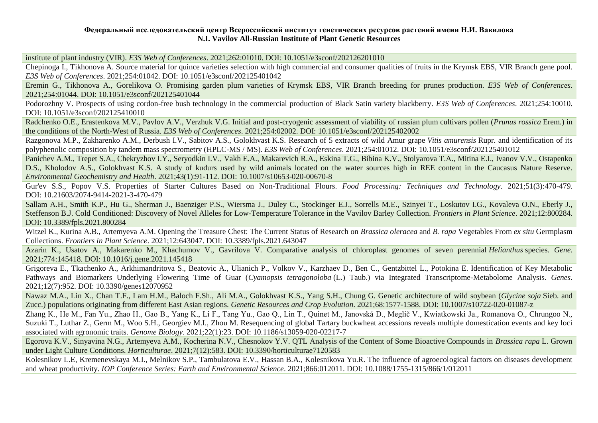institute of plant industry (VIR). *E3S Web of Conferences*. 2021;262:01010. DOI: [10.1051/e3sconf/202126201010](https://doi.org/10.1051/e3sconf/202126201010)

Chepinoga I., Tikhonova A. Source material for quince varieties selection with high commercial and consumer qualities of fruits in the Krymsk EBS, VIR Branch gene pool. *E3S Web of Conferences*. 2021;254:01042. DOI: [10.1051/e3sconf/202125401042](https://doi.org/10.1051/e3sconf/202125401042)

Eremin G., Tikhonova A., Gorelikova O. Promising garden plum varieties of Krymsk EBS, VIR Branch breeding for prunes production. *E3S Web of Conferences*. 2021;254:01044. DOI: [10.1051/e3sconf/202125401044](https://doi.org/10.1051/e3sconf/202125401044)

Podorozhny V. Prospects of using cordon-free bush technology in the commercial production of Black Satin variety blackberry. *E3S Web of Conferences*. 2021;254:10010. DOI: [10.1051/e3sconf/202125410010](https://doi.org/10.1051/e3sconf/202125410010)

Radchenko O.E., Erastenkova M.V., Pavlov A.V., Verzhuk V.G. Initial and post-cryogenic assessment of viability of russian plum cultivars pollen (*Prunus rossica* Erem.) in the conditions of the North-West of Russia. *E3S Web of Conferences*. 2021;254:02002. DOI: [10.1051/e3sconf/202125402002](https://doi.org/10.1051/e3sconf/202125402002)

Razgonova M.P., Zakharenko A.M., Derbush I.V., Sabitov A.S., Golokhvast K.S. Research of 5 extracts of wild Amur grape *Vitis amurensis* Rupr. and identification of its polyphenolic composition by tandem mass spectrometry (HPLC-MS / MS). *E3S Web of Conferences*. 2021;254:01012. DOI: [10.1051/e3sconf/202125401012](https://doi.org/10.1051/e3sconf/202125401012)

Panichev A.M., Trepet S.A., Chekryzhov I.Y., Seryodkin I.V., Vakh E.A., Makarevich R.A., Eskina T.G., Bibina K.V., Stolyarova T.A., Mitina E.I., Ivanov V.V., Ostapenko D.S., Kholodov A.S., Golokhvast K.S. A study of kudurs used by wild animals located on the water sources high in REE content in the Caucasus Nature Reserve. *Environmental Geochemistry and Health*. 2021;43(1):91-112. DOI: [10.1007/s10653-020-00670-8](https://doi.org/10.1007/s10653-020-00670-8)

Gur'ev S.S., Popov V.S. Properties of Starter Cultures Based on Non-Traditional Flours. *Food Processing: Techniques and Technology*. 2021;51(3):470-479. DOI: [10.21603/2074-9414-2021-3-470-479](https://doi.org/10.21603/2074-9414-2021-3-470-479)

Sallam A.H., Smith K.P., Hu G., Sherman J., Baenziger P.S., Wiersma J., Duley C., Stockinger E.J., Sorrells M.E., Szinyei T., Loskutov I.G., Kovaleva O.N., Eberly J., Steffenson B.J. Cold Conditioned: Discovery of Novel Alleles for Low-Temperature Tolerance in the Vavilov Barley Collection. *Frontiers in Plant Science*. 2021;12:800284. DOI: [10.3389/fpls.2021.800284](https://doi.org/10.3389/fpls.2021.800284)

Witzel K., Kurina A.B., Artemyeva A.M. Opening the Treasure Chest: The Current Status of Research on *Brassica oleracea* and *B. rapa* Vegetables From *ex situ* Germplasm Collections. *Frontiers in Plant Science*. 2021;12:643047. DOI: [10.3389/fpls.2021.643047](https://doi.org/10.3389/fpls.2021.643047)

Azarin K., Usatov A., Makarenko M., Khachumov V., Gavrilova V. Comparative analysis of chloroplast genomes of seven perennial *Helianthus* species. *Gene*. 2021;774:145418. DOI: [10.1016/j.gene.2021.145418](https://doi.org/10.1016/j.gene.2021.145418)

Grigoreva E., Tkachenko A., Arkhimandritova S., Beatovic A., Ulianich P., Volkov V., Karzhaev D., Ben C., Gentzbittel L., Potokina E. Identification of Key Metabolic Pathways and Biomarkers Underlying Flowering Time of Guar (*Cyamopsis tetragonoloba* (L.) Taub.) via Integrated Transcriptome-Metabolome Analysis. *Genes*. 2021;12(7):952. DOI: [10.3390/genes12070952](https://doi.org/10.3390/genes12070952)

Nawaz M.A., Lin X., Chan T.F., Lam H.M., Baloch F.Sh., Ali M.A., Golokhvast K.S., Yang S.H., Chung G. Genetic architecture of wild soybean (*Glycine soja* Sieb. and Zucc.) populations originating from different East Asian regions. *Genetic Resources and Crop Evolution*. 2021;68:1577-1588. DOI: [10.1007/s10722-020-01087-z](https://doi.org/10.1007/s10722-020-01087-z)

Zhang K., He M., Fan Yu., Zhao H., Gao B., Yang K., Li F., Tang Yu., Gao Q., Lin T., Quinet M., Janovská D., Meglič V., Kwiatkowski Ja., Romanova O., Chrungoo N., Suzuki T., Luthar Z., Germ M., Woo S.H., Georgiev M.I., Zhou M. Resequencing of global Tartary buckwheat accessions reveals multiple domestication events and key loci associated with agronomic traits. *Genome Biology*. 2021;22(1):23. DOI: [10.1186/s13059-020-02217-7](https://doi.org/10.1186/s13059-020-02217-7)

Egorova K.V., Sinyavina N.G., Artemyeva A.M., Kocherina N.V., Chesnokov Y.V. QTL Analysis of the Content of Some Bioactive Compounds in *Brassica rapa* L. Grown under Light Culture Conditions. *Horticulturae*. 2021;7(12):583. DOI: [10.3390/horticulturae7120583](https://doi.org/10.3390/horticulturae7120583)

Kolesnikov L.E, Kremenevskaya M.I., Melnikov S.P., Tambulatova E.V., Hassan B.A., Kolesnikova Yu.R. The influence of agroecological factors on diseases development and wheat productivity. *IOP Conference Series: Earth and Environmental Science*. 2021;866:012011. DOI: 10.1088/1755-1315/866/1/012011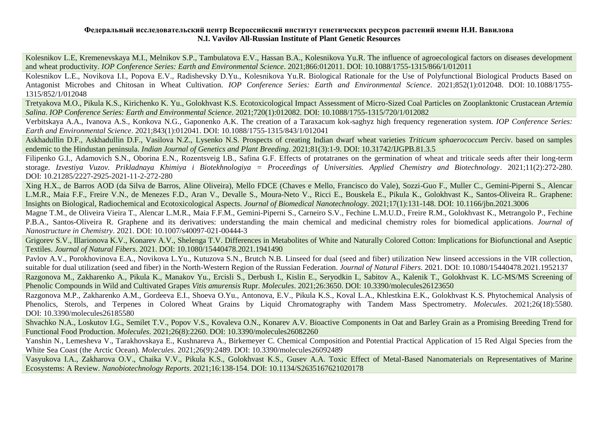Kolesnikov L.E, Kremenevskaya M.I., Melnikov S.P., Tambulatova E.V., Hassan B.A., Kolesnikova Yu.R. The influence of agroecological factors on diseases development and wheat productivity. *IOP Conference Series: Earth and Environmental Science*. 2021;866:012011. DOI: [10.1088/1755-1315/866/1/012011](https://iopscience.iop.org/article/10.1088/1755-1315/866/1/012011)

Kolesnikov L.E., Novikova I.I., Popova E.V., Radishevsky D.Yu., Kolesnikova Yu.R. Biological Rationale for the Use of Polyfunctional Biological Products Based on Antagonist Microbes and Chitosan in Wheat Cultivation. *IOP Conference Series: Earth and Environmental Science*. 2021;852(1):012048. DOI: [10.1088/1755-](https://iopscience.iop.org/article/10.1088/1755-1315/852/1/012048) [1315/852/1/012048](https://iopscience.iop.org/article/10.1088/1755-1315/852/1/012048)

Tretyakova M.O., Pikula K.S., Kirichenko K. Yu., Golokhvast K.S. Ecotoxicological Impact Assessment of Micro-Sized Coal Particles on Zooplanktonic Crustacean *Artemia Salina*. *IOP Conference Series: Earth and Environmental Science*. 2021;720(1):012082. DOI: [10.1088/1755-1315/720/1/012082](https://doi.org/10.1088/1755-1315/720/1/012082)

Verbitskaya A.A., Ivanova A.S., Konkova N.G., Gaponenko A.K. The creation of a Taraxacum kok-saghyz high frequency regeneration system. *IOP Conference Series: Earth and Environmental Science*. 2021;843(1):012041. DOI: [10.1088/1755-1315/843/1/012041](https://doi.org/10.1088/1755-1315/843/1/012041)

Askhadullin D.F., Askhadullin D.F., Vasilova N.Z., Lysenko N.S. Prospects of creating Indian dwarf wheat varieties *Triticum sphaerococcum* Perciv. based on samples endemic to the Hindustan peninsula. *Indian Journal of Genetics and Plant Breeding*. 2021;81(3):1-9. DOI: [10.31742/IJGPB.81.3.5](https://www.isgpb.org/journal/index.php/IJGPB/article/view/3316)

Filipenko G.I., Adamovich S.N., Oborina E.N., Rozentsveig I.B., Safina G.F. Effects of protatranes on the germination of wheat and triticale seeds after their long-term storage. *Izvestiya Vuzov. Prikladnaya Khimiya i Biotekhnologiya = Proceedings of Universities. Applied Chemistry and Biotechnology*. 2021;11(2):272-280. DOI: [10.21285/2227-2925-2021-11-2-272-280](https://doi.org/10.21285/2227-2925-2021-11-2-272-280)

Xing H.X., de Barros AOD (da Silva de Barros, Aline Oliveira), Mello FDCE (Chaves e Mello, Francisco do Vale), Sozzi-Guo F., Muller C., Gemini-Piperni S., Alencar L.M.R., Maia F.F., Freire V.N., de Menezes F.D., Aran V., Devalle S., Moura-Neto V., Ricci E., Bouskela E., Pikula K., Golokhvast K., Santos-Oliveira R.. Graphene: Insights on Biological, Radiochemical and Ecotoxicological Aspects. *Journal of Biomedical Nanotechnology*. 2021;17(1):131-148. DOI: [10.1166/jbn.2021.3006](https://www.researchgate.net/deref/http%3A%2F%2Fdx.doi.org%2F10.1166%2Fjbn.2021.3006)

Magne T.M., de Oliveira Vieira T., Alencar L.M.R., Maia F.F.M., Gemini-Piperni S., Carneiro S.V., Fechine L.M.U.D., Freire R.M., Golokhvast K., Metrangolo P., Fechine P.B.A., Santos-Oliveira R. Graphene and its derivatives: understanding the main chemical and medicinal chemistry roles for biomedical applications. *Journal of Nanostructure in Chemistry*. 2021. DOI: [10.1007/s40097-021-00444-3](https://doi.org/10.1007/s40097-021-00444-3)

Grigorev S.V., Illarionova K.V., Konarev A.V., Shelenga T.V. Differences in Metabolites of White and Naturally Colored Cotton: Implications for Biofunctional and Aseptic Textiles. *Journal of Natural Fibers*. 2021. DOI: [10.1080/15440478.2021.1941490](https://doi.org/10.1080/15440478.2021.1941490)

Pavlov A.V., Porokhovinova E.A., Novikova L.Yu., Kutuzova S.N., Brutch N.B. Linseed for dual (seed and fiber) utilization New linseed accessions in the VIR collection, suitable for dual utilization (seed and fiber) in the North-Western Region of the Russian Federation. *Journal of Natural Fibers*. 2021. DOI: [10.1080/15440478.2021.1952137](https://doi.org/10.1080/15440478.2021.1952137)

Razgonova M., Zakharenko A., Pikula K., Manakov Yu., Ercisli S., Derbush I., Kislin E., Seryodkin I., Sabitov A., Kalenik T., Golokhvast K. LC-MS/MS Screening of Phenolic Compounds in Wild and Cultivated Grapes *Vitis amurensis* Rupr. *Molecules*. 2021;26:3650. DOI: [10.3390/molecules26123650](https://doi.org/10.3390/molecules26123650)

Razgonova M.P., Zakharenko A.M., Gordeeva E.I., Shoeva O.Yu., Antonova, E.V., Pikula K.S., Koval L.A., Khlestkina E.K., Golokhvast K.S. Phytochemical Analysis of Phenolics, Sterols, and Terpenes in Colored Wheat Grains by Liquid Chromatography with Tandem Mass Spectrometry. *Molecules*. 2021;26(18):5580. DOI: [10.3390/molecules26185580](https://doi.org/10.3390/molecules26185580)

Shvachko N.A., Loskutov I.G., Semilet T.V., Popov V.S., Kovaleva O.N., Konarev A.V. Bioactive Components in Oat and Barley Grain as a Promising Breeding Trend for Functional Food Production. *Molecules*. 2021;26(8):2260. DOI: [10.3390/molecules26082260](https://doi.org/10.3390/molecules26082260)

Yanshin N., Lemesheva V., Tarakhovskaya E., Kushnareva A., Birkemeyer C. Chemical Composition and Potential Practical Application of 15 Red Algal Species from the White Sea Coast (the Arctic Ocean). *Molecules*. 2021;26(9):2489. DOI: [10.3390/molecules26092489](https://doi.org/10.3390/molecules26092489)

Vasyukova I.A., Zakharova O.V., Chaika V.V., Pikula K.S., Golokhvast K.S., Gusev A.A. Toxic Effect of Metal-Based Nanomaterials on Representatives of Marine Ecosystems: A Review. *Nanobiotechnology Reports*. 2021;16:138-154. DOI: [10.1134/S2635167621020178](https://doi.org/10.1134/S2635167621020178)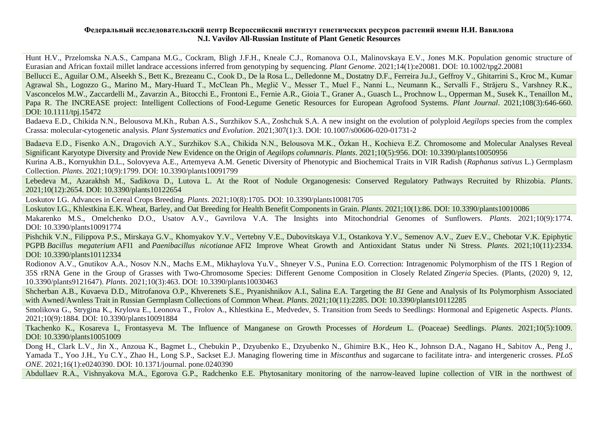Hunt H.V., Przelomska N.A.S., Campana M.G., Cockram, Bligh J.F.H., Kneale C.J., Romanova O.I., Malinovskaya E.V., Jones M.K. Population genomic structure of Eurasian and African foxtail millet landrace accessions inferred from genotyping by sequencing. *Plant Genome*. 2021;14(1):e20081. DOI: [10.1002/tpg2.20081](https://doi.org/10.1002/tpg2.20081)

Bellucci E., Aguilar O.M., Alseekh S., Bett K., Brezeanu C., Cook D., De la Rosa L., Delledonne M., Dostatny D.F., Ferreira Ju.J., Geffroy V., Ghitarrini S., Kroc M., Kumar Agrawal Sh., Logozzo G., Marino M., Mary‐Huard T., McClean Ph., Meglič V., Messer T., Muel F., Nanni L., Neumann K., Servalli F., Străjeru S., Varshney R.K., Vasconcelos M.W., Zaccardelli M., Zavarzin A., Bitocchi E., Frontoni E., Fernie A.R., Gioia T., Graner A., Guasch L., Prochnow L., Opperman M., Susek K., Tenaillon M., Papa R. The INCREASE project: Intelligent Collections of Food-Legume Genetic Resources for European Agrofood Systems. *Plant Journal*. 2021;108(3):646-660. DOI: [10.1111/tpj.15472](https://doi.org/10.1111/tpj.15472)

Badaeva E.D., Chikida N.N., Belousova M.Kh., Ruban A.S., Surzhikov S.A., Zoshchuk S.A. A new insight on the evolution of polyploid *Aegilops* species from the complex Crassa: molecular-cytogenetic analysis. *Plant Systematics and Evolution*. 2021;307(1):3. DOI: [10.1007/s00606-020-01731-2](https://doi.org/10.1007/s00606-020-01731-2)

Badaeva E.D., Fisenko A.N., Dragovich A.Y., Surzhikov S.A., Chikida N.N., Belousova M.K., Özkan H., Kochieva E.Z. Chromosome and Molecular Analyses Reveal Significant Karyotype Diversity and Provide New Evidence on the Origin of *Aegilops columnaris*. *Plants*. 2021;10(5):956. DOI: [10.3390/plants10050956](https://doi.org/10.3390/plants10050956)

Kurina A.B., Kornyukhin D.L., Solovyeva A.E., Artemyeva A.M. Genetic Diversity of Phenotypic and Biochemical Traits in VIR Radish (*Raphanus sativus* L.) Germplasm Collection. *Plants*. 2021;10(9):1799. DOI: [10.3390/plants10091799](https://doi.org/10.3390/plants10091799)

Lebedeva M., Azarakhsh M., Sadikova D., Lutova L. At the Root of Nodule Organogenesis: Conserved Regulatory Pathways Recruited by Rhizobia. *Plants*. 2021;10(12):2654. DOI: [10.3390/plants10122654](https://doi.org/10.3390/plants10122654)

Loskutov I.G. Advances in Cereal Crops Breeding*. Plants*. 2021;10(8):1705. DOI: [10.3390/plants10081705](https://doi.org/10.3390/plants10081705)

Loskutov I.G., Khlestkina E.K. Wheat, Barley, and Oat Breeding for Health Benefit Components in Grain. *Plants*. 2021;10(1):86. DOI: [10.3390/plants10010086](https://doi.org/10.3390/plants10010086)

Makarenko M.S., Omelchenko D.O., Usatov A.V., Gavrilova V.A. The Insights into Mitochondrial Genomes of Sunflowers. *Plants*. 2021;10(9):1774. DOI: [10.3390/plants10091774](https://doi.org/10.3390/plants10091774)

Pishchik V.N., Filippova P.S., Mirskaya G.V., Khomyakov Y.V., Vertebny V.E., Dubovitskaya V.I., Ostankova Y.V., Semenov A.V., Zuev E.V., Chebotar V.K. Epiphytic PGPB *Bacillus megaterium* AFI1 and *Paenibacillus nicotianae* AFI2 Improve Wheat Growth and Antioxidant Status under Ni Stress. *Plants*. 2021;10(11):2334. DOI: [10.3390/plants10112334](https://doi.org/10.3390/plants10112334)

Rodionov A.V., Gnutikov A.A., Nosov N.N., Machs E.M., Mikhaylova Yu.V., Shneyer V.S., Punina E.O. Correction: Intragenomic Polymorphism of the ITS 1 Region of 35S rRNA Gene in the Group of Grasses with Two-Chromosome Species: Different Genome Composition in Closely Related *Zingeria* Species. (Plants, (2020) 9, 12, 10.3390/plants9121647). *Plants*. 2021;10(3):463. DOI: [10.3390/plants10030463](https://www.mdpi.com/2223-7747/10/3/463/htm)

Shcherban A.B., Kuvaeva D.D., Mitrofanova O.P., Khverenets S.E., Pryanishnikov A.I., Salina E.A. Targeting the *B1* Gene and Analysis of Its Polymorphism Associated with Awned/Awnless Trait in Russian Germplasm Collections of Common Wheat. *Plants*. 2021;10(11):2285. DOI: [10.3390/plants10112285](https://doi.org/10.3390/plants10112285)

Smolikova G., Strygina K., Krylova E., Leonova T., Frolov A., Khlestkina E., Medvedev, S. Transition from Seeds to Seedlings: Hormonal and Epigenetic Aspects. *Plants*. 2021;10(9):1884. DOI: [10.3390/plants10091884](https://doi.org/10.3390/plants10091884)

Tkachenko K., Kosareva I., Frontasyeva M. The Influence of Manganese on Growth Processes of *Hordeum* L. (Poaceae) Seedlings. *Plants*. 2021;10(5):1009. DOI: [10.3390/plants10051009](https://doi.org/10.3390/plants10051009)

Dong H., Clark L.V., Jin X., Anzoua K., Bagmet L., Chebukin P., Dzyubenko E., Dzyubenko N., Ghimire B.K., Heo K., Johnson D.A., Nagano H., Sabitov A., Peng J., Yamada T., Yoo J.H., Yu C.Y., Zhao H., Long S.P., Sackset E.J. Managing flowering time in *Miscanthus* and sugarcane to facilitate intra- and intergeneric crosses. *PLoS ONE*. 2021;16(1):e0240390. DOI: [10.1371/journal. pone.0240390](https://doi.org/10.1371/journal.%20pone.0240390)

Abdullaev R.A., Vishnyakova M.A., Egorova G.P., Radchenko E.E. Phytosanitary monitoring of the narrow-leaved lupine collection of VIR in the northwest of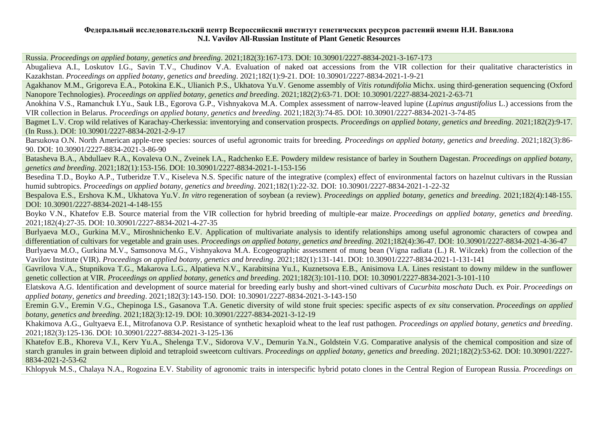Russia. *Proceedings on applied botany, genetics and breeding*. 2021;182(3):167-173. DOI: [10.30901/2227-8834-2021-3-167-173](https://doi.org/10.30901/2227-8834-2021-3-167-173)

Abugalieva A.I., Loskutov I.G., Savin T.V., Chudinov V.A. Evaluation of naked oat accessions from the VIR collection for their qualitative characteristics in Kazakhstan. *Proceedings on applied botany, genetics and breeding*. 2021;182(1):9-21. DOI: [10.30901/2227-8834-2021-1-9-21](https://doi.org/10.30901/2227-8834-2021-1-9-21)

Agakhanov M.M., Grigoreva E.A., Potokina E.K., Ulianich P.S., Ukhatova Yu.V. Genome assembly of *Vitis rotundifolia* Michx. using third-generation sequencing (Oxford Nanopore Technologies). *Proceedings on applied botany, genetics and breeding*. 2021;182(2):63-71. DOI: [10.30901/2227-8834-2021-2-63-71](https://doi.org/10.30901/2227-8834-2021-2-63-71)

Anokhina V.S., Ramanchuk I.Yu., Sauk I.B., Egorova G.P., Vishnyakova M.A. Complex assessment of narrow-leaved lupine (*Lupinus angustifolius* L.) accessions from the VIR collection in Belarus. *Proceedings on applied botany, genetics and breeding*. 2021;182(3):74-85. DOI: [10.30901/2227-8834-2021-3-74-85](https://doi.org/10.30901/2227-8834-2021-3-74-85)

Bagmet L.V. Crop wild relatives of Karachay-Cherkessia: inventorying and conservation prospects. *Proceedings on applied botany, genetics and breeding*. 2021;182(2):9-17. (In Russ.). DOI: [10.30901/2227-8834-2021-2-9-17](https://doi.org/10.30901/2227-8834-2021-2-9-17)

Barsukova O.N. North American apple-tree species: sources of useful agronomic traits for breeding. *Proceedings on applied botany, genetics and breeding*. 2021;182(3):86- 90. DOI: [10.30901/2227-8834-2021-3-86-90](https://doi.org/10.30901/2227-8834-2021-3-86-90)

Batasheva B.A., Abdullaev R.A., Kovaleva O.N., Zveinek I.A., Radchenko E.E. Powdery mildew resistance of barley in Southern Dagestan. *Proceedings on applied botany, genetics and breeding*. 2021;182(1):153-156. DOI: [10.30901/2227-8834-2021-1-153-156](https://doi.org/10.30901/2227-8834-2021-1-153-156)

Besedina T.D., Boyko A.P., Tutberidze T.V., Kiseleva N.S. Specific nature of the integrative (complex) effect of environmental factors on hazelnut cultivars in the Russian humid subtropics. *Proceedings on applied botany, genetics and breeding*. 2021;182(1):22-32. DOI: [10.30901/2227-8834-2021-1-22-32](https://doi.org/10.30901/2227-8834-2021-1-22-32)

Bespalova E.S., Ershova K.M., Ukhatova Yu.V. *In vitro* regeneration of soybean (a review). *Proceedings on applied botany, genetics and breeding*. 2021;182(4):148-155. DOI: [10.30901/2227-8834-2021-4-148-155](https://doi.org/10.30901/2227-8834-2021-4-148-155)

Boyko V.N., Khatefov E.B. Source material from the VIR collection for hybrid breeding of multiple-ear maize. *Proceedings on applied botany, genetics and breeding*. 2021;182(4):27-35. DOI: [10.30901/2227-8834-2021-4-27-35](https://doi.org/10.30901/2227-8834-2021-4-27-35)

Burlyaeva M.O., Gurkina M.V., Miroshnichenko E.V. Application of multivariate analysis to identify relationships among useful agronomic characters of cowpea and differentiation of cultivars for vegetable and grain uses. *Proceedings on applied botany, genetics and breeding*. 2021;182(4):36-47. DOI: [10.30901/2227-8834-2021-4-36-47](https://doi.org/10.30901/2227-8834-2021-4-36-47)

Burlyaeva M.O., Gurkina M.V., Samsonova M.G., Vishnyakova M.A. Ecogeographic assessment of mung bean (Vigna radiata (L.) R. Wilczek) from the collection of the Vavilov Institute (VIR). *Proceedings on applied botany, genetics and breeding*. 2021;182(1):131-141. DOI: [10.30901/2227-8834-2021-1-131-141](https://doi.org/10.30901/2227-8834-2021-1-131-141)

Gavrilova V.A., Stupnikova T.G., Makarova L.G., Alpatieva N.V., Karabitsina Yu.I., Kuznetsova E.B., Anisimova I.A. Lines resistant to downy mildew in the sunflower genetic collection at VIR. *Proceedings on applied botany, genetics and breeding*. 2021;182(3):101-110. DOI: [10.30901/2227-8834-2021-3-101-110](https://doi.org/10.30901/2227-8834-2021-3-101-110)

Elatskova A.G. Identification and development of source material for breeding early bushy and short-vined cultivars of *Cucurbita moschata* Duch. ex Poir. *Proceedings on applied botany, genetics and breeding*. 2021;182(3):143-150. DOI: [10.30901/2227-8834-2021-3-143-150](https://doi.org/10.30901/2227-8834-2021-3-143-150)

Eremin G.V., Eremin V.G., Chepinoga I.S., Gasanova T.A. Genetic diversity of wild stone fruit species: specific aspects of *ex situ* conservation. *Proceedings on applied botany, genetics and breeding*. 2021;182(3):12-19. DOI: [10.30901/2227-8834-2021-3-12-19](https://doi.org/10.30901/2227-8834-2021-3-12-19)

Khakimova A.G., Gultyaeva E.I., Mitrofanova O.P. Resistance of synthetic hexaploid wheat to the leaf rust pathogen. *Proceedings on applied botany, genetics and breeding*. 2021;182(3):125-136. DOI: [10.30901/2227-8834-2021-3-125-136](https://doi.org/10.30901/2227-8834-2021-3-125-136)

Khatefov E.B., Khoreva V.I., Kerv Yu.A., Shelenga T.V., Sidorova V.V., Demurin Ya.N., Goldstein V.G. Comparative analysis of the chemical composition and size of starch granules in grain between diploid and tetraploid sweetcorn cultivars. *Proceedings on applied botany, genetics and breeding*. 2021;182(2):53-62. DOI: [10.30901/2227-](https://doi.org/10.30901/2227-8834-2021-2-53-62) [8834-2021-2-53-62](https://doi.org/10.30901/2227-8834-2021-2-53-62)

Khlopyuk M.S., Chalaya N.A., Rogozina E.V. Stability of agronomic traits in interspecific hybrid potato clones in the Central Region of European Russia. *Proceedings on*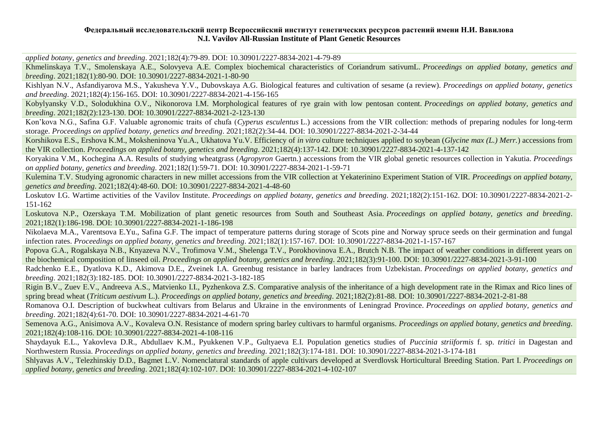*applied botany, genetics and breeding*. 2021;182(4):79-89. DOI: [10.30901/2227-8834-2021-4-79-89](https://doi.org/10.30901/2227-8834-2021-4-79-89)

Khmelinskaya T.V., Smolenskaya A.E., Solovyeva A.E. Complex biochemical characteristics of Coriandrum sativumL. *Proceedings on applied botany, genetics and breeding*. 2021;182(1):80-90. DOI: [10.30901/2227-8834-2021-1-80-90](https://doi.org/10.30901/2227-8834-2021-1-80-90)

Kishlyan N.V., Asfandiyarova M.S., Yakusheva Y.V., Dubovskaya A.G. Biological features and cultivation of sesame (a review). *Proceedings on applied botany, genetics and breeding*. 2021;182(4):156-165. DOI: [10.30901/2227-8834-2021-4-156-165](https://doi.org/10.30901/2227-8834-2021-4-156-165)

Kobylyansky V.D., Solodukhina O.V., Nikonorova I.M. Morphological features of rye grain with low pentosan content. *Proceedings on applied botany, genetics and breeding*. 2021;182(2):123-130. DOI: [10.30901/2227-8834-2021-2-123-130](https://doi.org/10.30901/2227-8834-2021-2-123-130)

Kon'kova N.G., Safina G.F. Valuable agronomic traits of chufa (*Cyperus esculentus* L.) accessions from the VIR collection: methods of preparing nodules for long-term storage. *Proceedings on applied botany, genetics and breeding*. 2021;182(2):34-44. DOI: [10.30901/2227-8834-2021-2-34-44](https://doi.org/10.30901/2227-8834-2021-2-34-44)

Korshikova E.S., Ershova K.M., Moksheninova Yu.A., Ukhatova Yu.V. Efficiency of *in vitro* culture techniques applied to soybean (*Glycine max (L.) Merr.*) accessions from the VIR collection. *Proceedings on applied botany, genetics and breeding*. 2021;182(4):137-142. DOI: [10.30901/2227-8834-2021-4-137-142](https://doi.org/10.30901/2227-8834-2021-4-137-142)

Koryakina V.M., Kochegina A.A. Results of studying wheatgrass (*Agropyron* Gaertn.) accessions from the VIR global genetic resources collection in Yakutia. *Proceedings on applied botany, genetics and breeding*. 2021;182(1):59-71. DOI: [10.30901/2227-8834-2021-1-59-71](https://doi.org/10.30901/2227-8834-2021-1-59-71)

Kulemina T.V. Studying agronomic characters in new millet accessions from the VIR collection at Yekaterinino Experiment Station of VIR. *Proceedings on applied botany, genetics and breeding*. 2021;182(4):48-60. DOI: [10.30901/2227-8834-2021-4-48-60](https://doi.org/10.30901/2227-8834-2021-4-48-60)

Loskutov I.G. Wartime activities of the Vavilov Institute. *Proceedings on applied botany, genetics and breeding*. 2021;182(2):151-162. DOI: [10.30901/2227-8834-2021-2-](https://doi.org/10.30901/2227-8834-2021-2-151-162) [151-162](https://doi.org/10.30901/2227-8834-2021-2-151-162)

Loskutova N.P., Ozerskaya T.M. Mobilization of plant genetic resources from South and Southeast Asia. *Proceedings on applied botany, genetics and breeding*. 2021;182(1):186-198. DOI: [10.30901/2227-8834-2021-1-186-198](https://doi.org/10.30901/2227-8834-2021-1-186-198)

Nikolaeva M.A., Varentsova E.Yu., Safina G.F. The impact of temperature patterns during storage of Scots pine and Norway spruce seeds on their germination and fungal infection rates. *Proceedings on applied botany, genetics and breeding*. 2021;182(1):157-167. DOI: [10.30901/2227-8834-2021-1-157-167](https://doi.org/10.30901/2227-8834-2021-1-157-167)

Popova G.A., Rogalskaya N.B., Knyazeva N.V., Trofimova V.M., Shelenga T.V., Porokhovinova E.A., Brutch N.B. The impact of weather conditions in different years on the biochemical composition of linseed oil. *Proceedings on applied botany, genetics and breeding*. 2021;182(3):91-100. DOI: [10.30901/2227-8834-2021-3-91-100](https://doi.org/10.30901/2227-8834-2021-3-91-100)

Radchenko E.E., Dyatlova K.D., Akimova D.E., Zveinek I.A. Greenbug resistance in barley landraces from Uzbekistan. *Proceedings on applied botany, genetics and breeding*. 2021;182(3):182-185. DOI: [10.30901/2227-8834-2021-3-182-185](https://doi.org/10.30901/2227-8834-2021-3-182-185)

Rigin B.V., Zuev Е.V., Andreeva А.S., Matvienko I.I., Pyzhenkova Z.S. Comparative analysis of the inheritance of a high development rate in the Rimax and Rico lines of spring bread wheat (*Triticum aestivum* L.). *Proceedings on applied botany, genetics and breeding*. 2021;182(2):81-88. DOI: [10.30901/2227-8834-2021-2-81-88](https://doi.org/10.30901/2227-8834-2021-2-81-88)

Romanova O.I. Description of buckwheat cultivars from Belarus and Ukraine in the environments of Leningrad Province. *Proceedings on applied botany, genetics and breeding*. 2021;182(4):61-70. DOI: [10.30901/2227-8834-2021-4-61-70](https://doi.org/10.30901/2227-8834-2021-4-61-70)

Semenova A.G., Anisimova A.V., Kovaleva O.N. Resistance of modern spring barley cultivars to harmful organisms. *Proceedings on applied botany, genetics and breeding*. 2021;182(4):108-116. DOI: [10.30901/2227-8834-2021-4-108-116](https://doi.org/10.30901/2227-8834-2021-4-108-116)

Shaydayuk E.L., Yakovleva D.R., Abdullaev K.M., Pyukkenen V.P., Gultyaeva E.I. Population genetics studies of *Puccinia striiformis* f. sp. *tritici* in Dagestan and Northwestern Russia. *Proceedings on applied botany, genetics and breeding*. 2021;182(3):174-181. DOI: [10.30901/2227-8834-2021-3-174-181](https://doi.org/10.30901/2227-8834-2021-3-174-181)

Shlyavas A.V., Telezhinskiy D.D., Bagmet L.V. Nomenclatural standards of apple cultivars developed at Sverdlovsk Horticultural Breeding Station. Part I. *Proceedings on applied botany, genetics and breeding*. 2021;182(4):102-107. DOI: [10.30901/2227-8834-2021-4-102-107](https://doi.org/10.30901/2227-8834-2021-4-102-107)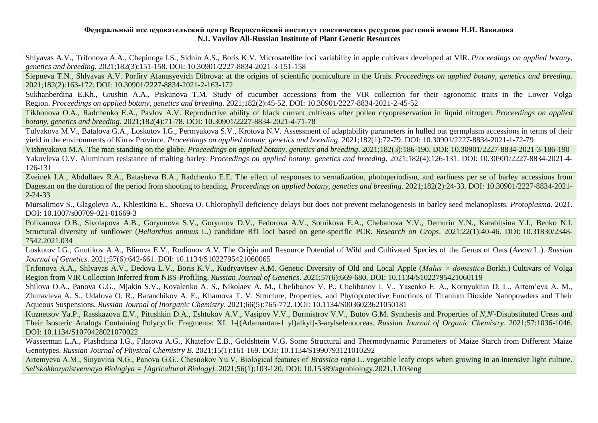Shlyavas A.V., Trifonova A.A., Chepinoga I.S., Sidnin A.S., Boris K.V. Microsatellite loci variability in apple cultivars developed at VIR. *Proceedings on applied botany, genetics and breeding*. 2021;182(3):151-158. DOI: [10.30901/2227-8834-2021-3-151-158](https://doi.org/10.30901/2227-8834-2021-3-151-158)

Slepneva T.N., Shlyavas A.V. Porfiry Afanasyevich Dibrova: at the origins of scientific pomiculture in the Urals. *Proceedings on applied botany, genetics and breeding*. 2021;182(2):163-172. DOI: [10.30901/2227-8834-2021-2-163-172](https://doi.org/10.30901/2227-8834-2021-2-163-172)

Sukhanberdina E.Kh., Grushin A.A., Piskunova T.M. Study of cucumber accessions from the VIR collection for their agronomic traits in the Lower Volga Region. *Proceedings on applied botany, genetics and breeding*. 2021;182(2):45-52. DOI: [10.30901/2227-8834-2021-2-45-52](https://doi.org/10.30901/2227-8834-2021-2-45-52)

Tikhonova O.A., Radchenko E.A., Pavlov A.V. Reproductive ability of black currant cultivars after pollen cryopreservation in liquid nitrogen. *Proceedings on applied botany, genetics and breeding*. 2021;182(4):71-78. DOI: [10.30901/2227-8834-2021-4-71-78](https://doi.org/10.30901/2227-8834-2021-4-71-78)

Tulyakova M.V., Batalova G.A., Loskutov I.G., Permyakova S.V., Krotova N.V. Assessment of adaptability parameters in hulled oat germplasm accessions in terms of their yield in the environments of Kirov Province. *Proceedings on applied botany, genetics and breeding*. 2021;182(1):72-79. DOI: [10.30901/2227-8834-2021-1-72-79](https://doi.org/10.30901/2227-8834-2021-1-72-79)

Vishnyakova M.A. The man standing on the globe. *Proceedings on applied botany, genetics and breeding*. 2021;182(3):186-190. DOI: [10.30901/2227-8834-2021-3-186-190](https://doi.org/10.30901/2227-8834-2021-3-186-190)

Yakovleva O.V. Aluminum resistance of malting barley. *Proceedings on applied botany, genetics and breeding*. 2021;182(4):126-131. DOI: [10.30901/2227-8834-2021-4-](https://doi.org/10.30901/2227-8834-2021-4-126-131) [126-131](https://doi.org/10.30901/2227-8834-2021-4-126-131)

Zveinek I.A., Abdullaev R.A., Batasheva B.A., Radchenko E.E. The effect of responses to vernalization, photoperiodism, and earliness per se of barley accessions from Dagestan on the duration of the period from shooting to heading. *Proceedings on applied botany, genetics and breeding*. 2021;182(2):24-33. DOI: [10.30901/2227-8834-2021-](https://doi.org/10.30901/2227-8834-2021-2-24-33) [2-24-33](https://doi.org/10.30901/2227-8834-2021-2-24-33)

Mursalimov S., Glagoleva A., Khlestkina E., Shoeva O. Chlorophyll deficiency delays but does not prevent melanogenesis in barley seed melanoplasts. *Protoplasma*. 2021. DOI: [10.1007/s00709-021-01669-3](https://doi.org/10.1007/s00709-021-01669-3)

Polivanova O.B., Sivolapova A.B., Goryunova S.V., Goryunov D.V., Fedorova A.V., Sotnikova E.A., Chebanova Y.V., Demurin Y.N., Karabitsina Y.I., Benko N.I. Structural diversity of sunflower (*Helianthus annuus* L.) candidate Rf1 loci based on gene-specific PCR. *Research on Crops*. 2021;22(1):40-46. DOI: [10.31830/2348-](https://doi.org/10.31830/2348-7542.2021.034) [7542.2021.034](https://doi.org/10.31830/2348-7542.2021.034)

Loskutov I.G., Gnutikov A.A., Blinova E.V., Rodionov A.V. The Origin and Resource Potential of Wild and Cultivated Species of the Genus of Oats (*Avena* L.). *Russian Journal of Genetics*. 2021;57(6):642-661. DOI: [10.1134/S1022795421060065](https://doi.org/10.1134/S1022795421060065)

Trifonova A.A., Shlyavas A.V., Dedova L.V., Boris K.V., Kudryavtsev A.M. Genetic Diversity of Old and Local Apple (*Malus × domestica* Borkh.) Cultivars of Volga Region from VIR Collection Inferred from NBS-Profiling. *Russian Journal of Genetics*. 2021;57(6):669-680. DOI: [10.1134/S1022795421060119](https://doi.org/10.1134/S1022795421060119)

Shilova O.A., Panova G.G., Mjakin S.V., Kovalenko A. S., Nikolaev A. M., Chelibanov V. P., Chelibanov I. V., Yasenko E. A., Kornyukhin D. L., Artem'eva A. M., Zhuravleva A. S., Udalova O. R., Baranchikov A. E., Khamova T. V. Structure, Properties, and Phytoprotective Functions of Titanium Dioxide Nanopowders and Their Aqueous Suspensions. *Russian Journal of Inorganic Chemistry*. 2021;66(5):765-772. DOI: [10.1134/S0036023621050181](https://doi.org/10.1134/S0036023621050181)

Kuznetsov Ya.P., Rasskazova E.V., Pitushkin D.A., Eshtukov A.V., Vasipov V.V., Burmistrov V.V., Butov G.M. Synthesis and Properties of *N*,*N*′-Disubstituted Ureas and Their Isosteric Analogs Containing Polycyclic Fragments: XI. 1-[(Adamantan-1 yl)alkyl]-3-arylselenoureas. *Russian Journal of Organic Chemistry*. 2021;57:1036-1046. DOI: [10.1134/S1070428021070022](https://doi.org/10.1134/S1070428021070022)

Wasserman L.A., Plashchina I.G., Filatova A.G., Khatefov E.B., Goldshtein V.G. Some Structural and Thermodynamic Parameters of Maize Starch from Different Maize Genotypes. *Russian Journal of Physical Chemistry B*. 2021;15(1):161-169. DOI: [10.1134/S1990793121010292](https://doi.org/10.1134/S1990793121010292)

Artemyeva А.М., Sinyavina N.G., Panova G.G., Chesnokov Yu.V. Biological features of *Brassica rapa* L. vegetable leafy crops when growing in an intensive light culture. *Sel'skokhozyaistvennaya Biologiya = [Agricultural Biology]*. 2021;56(1):103-120. DOI: [10.15389/agrobiology.2021.1.103eng](http://www.agrobiology.ru/1-2021artemyeva-eng.html)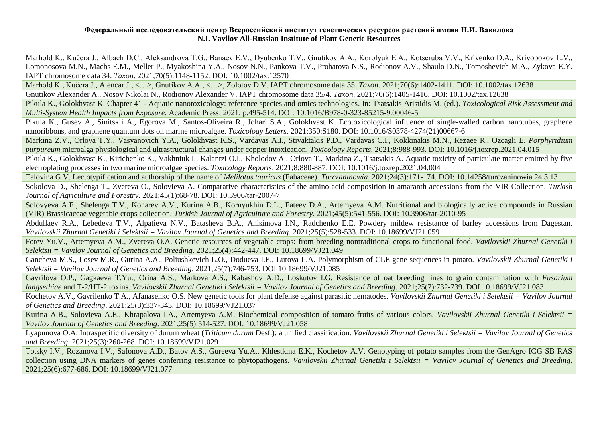Marhold K., Kučera J., Albach D.C., Aleksandrova T.G., Banaev E.V., Dyubenko T.V., Gnutikov A.A., Korolyuk E.A., Kotseruba V.V., Krivenko D.A., Krivobokov L.V., Lomonosova M.N., Machs E.M., Meller P., Myakoshina Y.A., Nosov N.N., Pankova T.V., Probatova N.S., Rodionov A.V., Shaulo D.N., Tomoshevich M.A., Zykova E.Y. IAPT chromosome data 34. *Taxon*. 2021;70(5):1148-1152. DOI: [10.1002/tax.12570](https://doi.org/10.1002/tax.12570)

Marhold K., Kučera J., Alencar J., <…>, Gnutikov A.A., <…>, Zolotov D.V. IAPT chromosome data 35. *Taxon*. 2021;70(6):1402-1411. DOI: [10.1002/tax.12638](https://onlinelibrary.wiley.com/doi/10.1002/tax.12638) Gnutikov Alexander A., Nosov Nikolai N., Rodionov Alexander V. IAPT chromosome data 35/4. *Taxon*. 2021;70(6):1405-1416. DOI: [10.1002/tax.12638](https://onlinelibrary.wiley.com/doi/10.1002/tax.12638)

Pikula K., Golokhvast K. Chapter 41 - Aquatic nanotoxicology: reference species and omics technologies. In: Tsatsakis Aristidis M. (ed.). *Toxicological Risk Assessment and Multi-System Health Impacts from Exposure*. Academic Press; 2021. p.495-514. DOI: [10.1016/B978-0-323-85215-9.00046-5](https://doi.org/10.1016/B978-0-323-85215-9.00046-5)

Pikula K., Gusev A., Sinitskii A., Egorova M., Santos-Oliveira R., Johari S.A., Golokhvast K. Ecotoxicological influence of single-walled carbon nanotubes, graphene nanoribbons, and graphene quantum dots on marine microalgae. *Toxicology Letters*. 2021;350:S180. DOI: [10.1016/S0378-4274\(21\)00667-6](https://doi.org/10.1016/S0378-4274(21)00667-6)

Markina Z.V., Orlova T.Y., Vasyanovich Y.A., Golokhvast K.S., Vardavas A.I., Stivaktakis P.D., Vardavas C.I., Kokkinakis M.N., Rezaee R., Ozcagli E. *Porphyridium purpureum* microalga physiological and ultrastructural changes under copper intoxication. *Toxicology Reports*. 2021;8:988-993. DOI: [10.1016/j.toxrep.2021.04.015](https://doi.org/10.1016/j.toxrep.2021.04.015)

Pikula K., Golokhvast K., Kirichenko K., Vakhniuk I., Kalantzi O.I., Kholodov A., Orlova T., Markina Z., Tsatsakis A. Aquatic toxicity of particulate matter emitted by five electroplating processes in two marine microalgae species. *Toxicology Reports*. 2021;8:880-887. DOI: [10.1016/j.toxrep.2021.04.004](https://doi.org/10.1016/j.toxrep.2021.04.004)

Talovina G.V. Lectotypification and authorship of the name of *Melilotus tauricus* (Fabaceae). *Turczaninowia*. 2021;24(3):171-174. DOI: [10.14258/turczaninowia.24.3.13](https://doi.org/10.14258/turczaninowia.24.3.13)

Sokolova D., Shelenga T., Zvereva O., Solovieva A. Comparative characteristics of the amino acid composition in amaranth accessions from the VIR Collection. *Turkish Journal of Agriculture and Forestry*. 2021;45(1):68-78. DOI: [10.3906/tar-2007-7](https://journals.tubitak.gov.tr/agriculture/abstract.htm?id=28666)

Solovyeva A.E., Shelenga T.V., Konarev A.V., Kurina A.B., Kornyukhin D.L., Fateev D.A., Artemyeva A.M. Nutritional and biologically active compounds in Russian (VIR) Brassicaceae vegetable crops collection. *Turkish Journal of Agriculture and Forestry*. 2021;45(5):541-556. DOI: [10.3906/tar-2010-95](https://dx.doi.org/10.3906/tar-2010-95)

Abdullaev R.A., Lebedeva T.V., Alpatieva N.V., Batasheva B.A., Anisimova I.N., Radchenko E.E. Powdery mildew resistance of barley accessions from Dagestan. *Vavilovskii Zhurnal Genetiki i Selektsii = Vavilov Journal of Genetics and Breeding*. 2021;25(5):528-533. DOI: [10.18699/VJ21.059](https://doi.org/10.18699/VJ21.059)

Fotev Yu.V., Artemyeva A.M., Zvereva O.A. Genetic resources of vegetable crops: from breeding nontraditional crops to functional food. *Vavilovskii Zhurnal Genetiki i Selektsii = Vavilov Journal of Genetics and Breeding*. 2021;25(4):442-447. DOI: [10.18699/VJ21.049](https://doi.org/10.18699/VJ21.049)

Gancheva M.S., Losev M.R., Gurina A.A., Poliushkevich L.O., Dodueva I.E., Lutova L.A. Polymorphism of CLE gene sequences in potato. *Vavilovskii Zhurnal Genetiki i Selektsii* = *Vavilov Journal of Genetics and Breeding*. 2021;25(7):746-753. DO[I 10.18699/VJ21.085](https://doi.org/10.18699/VJ21.085)

Gavrilova O.P., Gagkaeva T.Yu., Orina A.S., Markova A.S., Kabashov A.D., Loskutov I.G. Resistance of oat breeding lines to grain contamination with *Fusarium langsethiae* and T-2/HT-2 toxins. *Vavilovskii Zhurnal Genetiki i Selektsii = Vavilov Journal of Genetics and Breeding*. 2021;25(7):732-739. DO[I 10.18699/VJ21.083](https://elibrary.ru/item.asp?id=47274835#:~:text=DOI%3A%C2%A0-,10.18699/VJ21.083,-%D0%A5%D0%90%D0%A0%D0%90%D0%9A%D0%A2%D0%95%D0%A0%D0%98%D0%A1%D0%A2%D0%98%D0%9A%D0%90%20%D0%A3%D0%A1%D0%A2%D0%9E%D0%99%D0%A7%D0%98%D0%92%D0%9E%D0%A1%D0%A2%D0%98%20%D0%A1%D0%95%D0%9B%D0%95%D0%9A%D0%A6%D0%98%D0%9E%D0%9D%D0%9D%D0%AB%D0%A5)

Kochetov A.V., Gavrilenko T.A., Afanasenko O.S. New genetic tools for plant defense against parasitic nematodes. *Vavilovskii Zhurnal Genetiki i Selektsii = Vavilov Journal of Genetics and Breeding*. 2021;25(3):337-343. DOI: [10.18699/VJ21.037](https://doi.org/10.18699/VJ21.037)

Kurina A.B., Solovieva A.E., Khrapalova I.A., Artemyeva A.M. Biochemical composition of tomato fruits of various colors. *Vavilovskii Zhurnal Genetiki i Selektsii = Vavilov Journal of Genetics and Breeding*. 2021;25(5):514-527. DOI: [10.18699/VJ21.058](https://doi.org/10.18699/VJ21.058)

Lyapunova O.A. Intraspecific diversity of durum wheat (*Triticum durum* Desf.): a unified classification. *Vavilovskii Zhurnal Genetiki i Selektsii = Vavilov Journal of Genetics and Breeding*. 2021;25(3):260-268. DOI: [10.18699/VJ21.029](https://doi.org/10.18699/VJ21.029)

Totsky I.V., Rozanova I.V., Safonova A.D., Batov A.S., Gureeva Yu.A., Khlestkina E.K., Kochetov A.V. Genotyping of potato samples from the GenAgro ICG SB RAS collection using DNA markers of genes conferring resistance to phytopathogens. *Vavilovskii Zhurnal Genetiki i Selektsii = Vavilov Journal of Genetics and Breeding*. 2021;25(6):677-686. DOI: [10.18699/VJ21.077](https://doi.org/10.18699/VJ21.077)